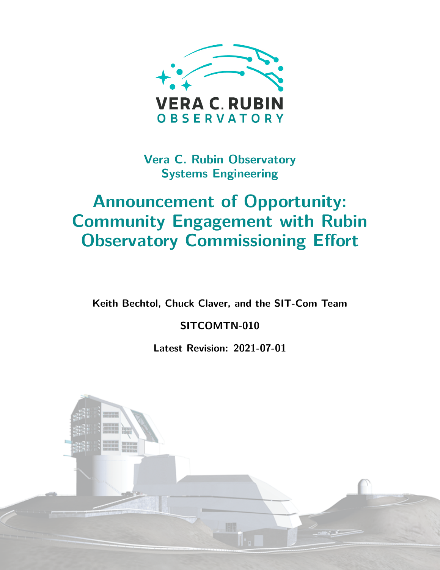

**Vera C. Rubin Observatory Systems Engineering**

# **Announcement of Opportunity: Community Engagement with Rubin Observatory Commissioning Effort**

**Keith Bechtol, Chuck Claver, and the SIT-Com Team**

**SITCOMTN-010**

**Latest Revision: 2021-07-01**

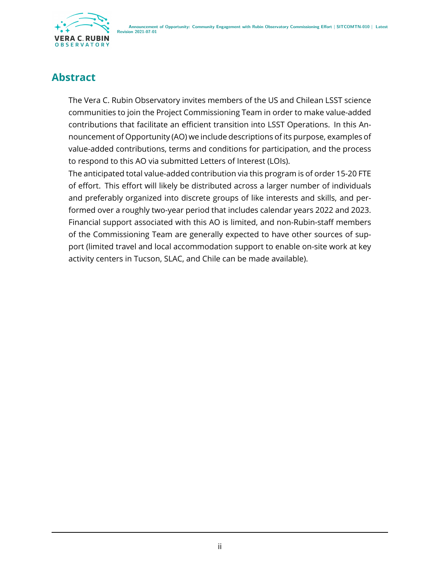

### **Abstract**

The Vera C. Rubin Observatory invites members of the US and Chilean LSST science communities to join the Project Commissioning Team in order to make value-added contributions that facilitate an efficient transition into LSST Operations. In this Announcement of Opportunity (AO) we include descriptions of its purpose, examples of value-added contributions, terms and conditions for participation, and the process to respond to this AO via submitted Letters of Interest (LOIs).

The anticipated total value-added contribution via this program is of order 15-20 FTE of effort. This effort will likely be distributed across a larger number of individuals and preferably organized into discrete groups of like interests and skills, and performed over a roughly two-year period that includes calendar years 2022 and 2023. Financial support associated with this AO is limited, and non-Rubin-staff members of the Commissioning Team are generally expected to have other sources of support (limited travel and local accommodation support to enable on-site work at key activity centers in Tucson, SLAC, and Chile can be made available).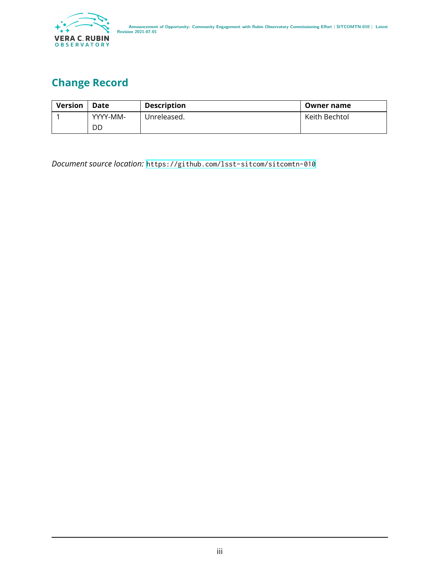

# **Change Record**

| <b>Version</b> | Date     | <b>Description</b> | Owner name    |
|----------------|----------|--------------------|---------------|
|                | YYYY-MM- | Unreleased.        | Keith Bechtol |
|                | DD       |                    |               |

*Document source location:* <https://github.com/lsst-sitcom/sitcomtn-010>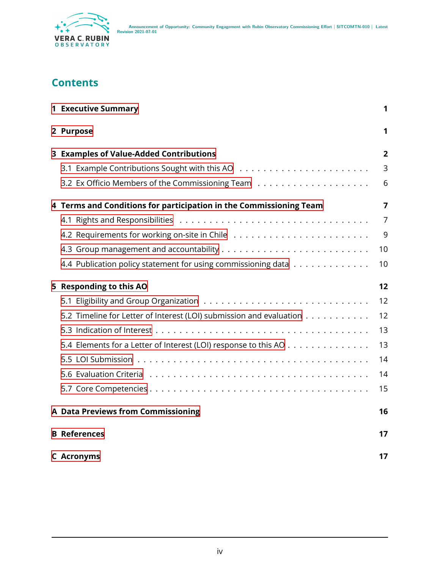

### **Contents**

| <b>1 Executive Summary</b>                                          | 1              |
|---------------------------------------------------------------------|----------------|
| 2 Purpose                                                           | 1              |
| 3 Examples of Value-Added Contributions                             | 2              |
|                                                                     | 3              |
|                                                                     | 6              |
| 4 Terms and Conditions for participation in the Commissioning Team  | $\overline{7}$ |
|                                                                     | 7              |
|                                                                     | 9              |
|                                                                     | 10             |
| 4.4 Publication policy statement for using commissioning data       | 10             |
| 5 Responding to this AO                                             | 12             |
|                                                                     | 12             |
| 5.2 Timeline for Letter of Interest (LOI) submission and evaluation | 12             |
|                                                                     | 13             |
| 5.4 Elements for a Letter of Interest (LOI) response to this AO     | 13             |
|                                                                     | 14             |
|                                                                     | 14             |
|                                                                     | 15             |
| <b>A Data Previews from Commissioning</b>                           | 16             |
| <b>B</b> References                                                 | 17             |
| <b>C</b> Acronyms                                                   | 17             |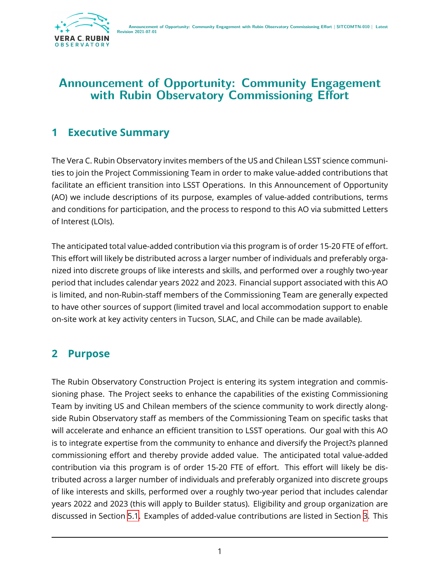

### **Announcement of Opportunity: Community Engagement with Rubin Observatory Commissioning Effort**

### <span id="page-4-0"></span>**1 Executive Summary**

The Vera C. Rubin Observatory invites members of the US and Chilean LSST science communities to join the Project Commissioning Team in order to make value-added contributions that facilitate an efficient transition into LSST Operations. In this Announcement of Opportunity (AO) we include descriptions of its purpose, examples of value-added contributions, terms and conditions for participation, and the process to respond to this AO via submitted Letters of Interest (LOIs).

The anticipated total value-added contribution via this program is of order 15-20 FTE of effort. This effort will likely be distributed across a larger number of individuals and preferably organized into discrete groups of like interests and skills, and performed over a roughly two-year period that includes calendar years 2022 and 2023. Financial support associated with this AO is limited, and non-Rubin-staff members of the Commissioning Team are generally expected to have other sources of support (limited travel and local accommodation support to enable on-site work at key activity centers in Tucson, SLAC, and Chile can be made available).

# <span id="page-4-1"></span>**2 Purpose**

The Rubin Observatory Construction Project is entering its system integration and commissioning phase. The Project seeks to enhance the capabilities of the existing Commissioning Team by inviting US and Chilean members of the science community to work directly alongside Rubin Observatory staff as members of the Commissioning Team on specific tasks that will accelerate and enhance an efficient transition to LSST operations. Our goal with this AO is to integrate expertise from the community to enhance and diversify the Project?s planned commissioning effort and thereby provide added value. The anticipated total value-added contribution via this program is of order 15-20 FTE of effort. This effort will likely be distributed across a larger number of individuals and preferably organized into discrete groups of like interests and skills, performed over a roughly two-year period that includes calendar years 2022 and 2023 (this will apply to Builder status). Eligibility and group organization are discussed in Section [5.1](#page-15-1). Examples of added-value contributions are listed in Section [3.](#page-5-0) This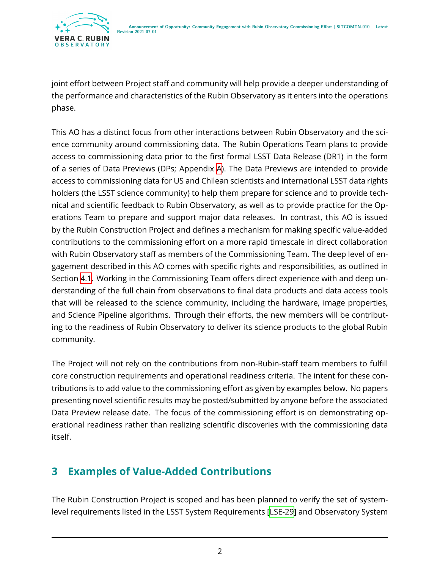joint effort between Project staff and community will help provide a deeper understanding of the performance and characteristics of the Rubin Observatory as it enters into the operations phase.

This AO has a distinct focus from other interactions between Rubin Observatory and the science community around commissioning data. The Rubin Operations Team plans to provide access to commissioning data prior to the first formal LSST Data Release (DR1) in the form of a series of Data Previews (DPs; Appendix [A\)](#page-19-0). The Data Previews are intended to provide access to commissioning data for US and Chilean scientists and international LSST data rights holders (the LSST science community) to help them prepare for science and to provide technical and scientific feedback to Rubin Observatory, as well as to provide practice for the Operations Team to prepare and support major data releases. In contrast, this AO is issued by the Rubin Construction Project and defines a mechanism for making specific value-added contributions to the commissioning effort on a more rapid timescale in direct collaboration with Rubin Observatory staff as members of the Commissioning Team. The deep level of engagement described in this AO comes with specific rights and responsibilities, as outlined in Section [4.1](#page-10-1). Working in the Commissioning Team offers direct experience with and deep understanding of the full chain from observations to final data products and data access tools that will be released to the science community, including the hardware, image properties, and Science Pipeline algorithms. Through their efforts, the new members will be contributing to the readiness of Rubin Observatory to deliver its science products to the global Rubin community.

The Project will not rely on the contributions from non-Rubin-staff team members to fulfill core construction requirements and operational readiness criteria. The intent for these contributions is to add value to the commissioning effort as given by examples below. No papers presenting novel scientific results may be posted/submitted by anyone before the associated Data Preview release date. The focus of the commissioning effort is on demonstrating operational readiness rather than realizing scientific discoveries with the commissioning data itself.

# <span id="page-5-0"></span>**3 Examples of Value-Added Contributions**

The Rubin Construction Project is scoped and has been planned to verify the set of systemlevel requirements listed in the LSST System Requirements [\[LSE-29](#page-20-2)] and Observatory System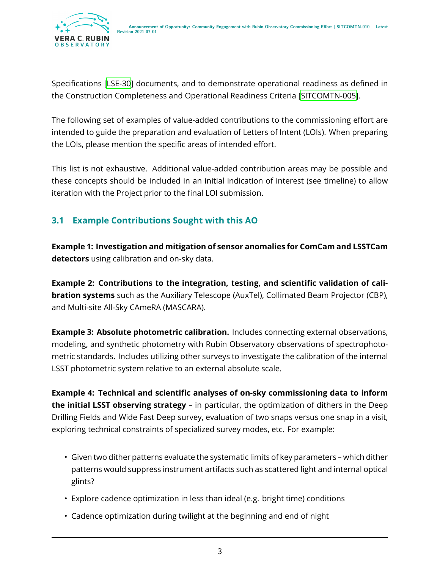

Specifications[[LSE-30](#page-20-3)] documents, and to demonstrate operational readiness as defined in the Construction Completeness and Operational Readiness Criteria[[SITCOMTN-005\]](#page-20-4).

The following set of examples of value-added contributions to the commissioning effort are intended to guide the preparation and evaluation of Letters of Intent (LOIs). When preparing the LOIs, please mention the specific areas of intended effort.

This list is not exhaustive. Additional value-added contribution areas may be possible and these concepts should be included in an initial indication of interest (see timeline) to allow iteration with the Project prior to the final LOI submission.

#### <span id="page-6-0"></span>**3.1 Example Contributions Sought with this AO**

**Example 1: Investigation and mitigation of sensor anomalies for ComCam and LSSTCam detectors** using calibration and on-sky data.

**Example 2: Contributions to the integration, testing, and scientific validation of calibration systems** such as the Auxiliary Telescope (AuxTel), Collimated Beam Projector (CBP), and Multi-site All-Sky CAmeRA (MASCARA).

**Example 3: Absolute photometric calibration.** Includes connecting external observations, modeling, and synthetic photometry with Rubin Observatory observations of spectrophotometric standards. Includes utilizing other surveys to investigate the calibration of the internal LSST photometric system relative to an external absolute scale.

**Example 4: Technical and scientific analyses of on-sky commissioning data to inform the initial LSST observing strategy** – in particular, the optimization of dithers in the Deep Drilling Fields and Wide Fast Deep survey, evaluation of two snaps versus one snap in a visit, exploring technical constraints of specialized survey modes, etc. For example:

- Given two dither patterns evaluate the systematic limits of key parameters which dither patterns would suppress instrument artifacts such as scattered light and internal optical glints?
- Explore cadence optimization in less than ideal (e.g. bright time) conditions
- Cadence optimization during twilight at the beginning and end of night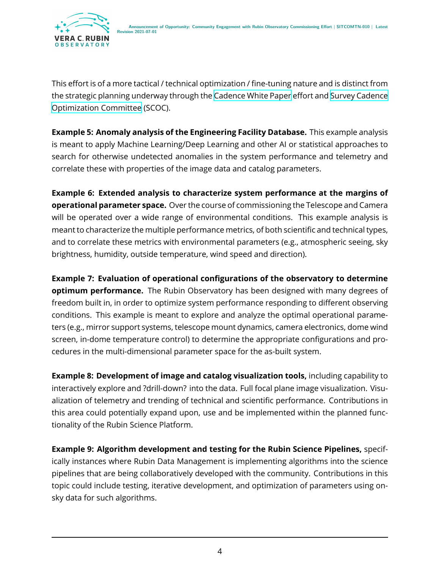

This effort is of a more tactical / technical optimization / fine-tuning nature and is distinct from the strategic planning underway through the [Cadence White Paper](https://www.lsst.org/content/survey-cadence-notes-2021) effort and [Survey Cadence](https://www.lsst.org/content/charge-survey-cadence-optimization-committee-scoc) [Optimization Committee](https://www.lsst.org/content/charge-survey-cadence-optimization-committee-scoc) (SCOC).

**Example 5: Anomaly analysis of the Engineering Facility Database.** This example analysis is meant to apply Machine Learning/Deep Learning and other AI or statistical approaches to search for otherwise undetected anomalies in the system performance and telemetry and correlate these with properties of the image data and catalog parameters.

**Example 6: Extended analysis to characterize system performance at the margins of operational parameter space.** Over the course of commissioning the Telescope and Camera will be operated over a wide range of environmental conditions. This example analysis is meant to characterize the multiple performance metrics, of both scientific and technical types, and to correlate these metrics with environmental parameters (e.g., atmospheric seeing, sky brightness, humidity, outside temperature, wind speed and direction).

**Example 7: Evaluation of operational configurations of the observatory to determine optimum performance.** The Rubin Observatory has been designed with many degrees of freedom built in, in order to optimize system performance responding to different observing conditions. This example is meant to explore and analyze the optimal operational parameters (e.g., mirror support systems, telescope mount dynamics, camera electronics, dome wind screen, in-dome temperature control) to determine the appropriate configurations and procedures in the multi-dimensional parameter space for the as-built system.

**Example 8: Development of image and catalog visualization tools,** including capability to interactively explore and ?drill-down? into the data. Full focal plane image visualization. Visualization of telemetry and trending of technical and scientific performance. Contributions in this area could potentially expand upon, use and be implemented within the planned functionality of the Rubin Science Platform.

**Example 9: Algorithm development and testing for the Rubin Science Pipelines,** specifically instances where Rubin Data Management is implementing algorithms into the science pipelines that are being collaboratively developed with the community. Contributions in this topic could include testing, iterative development, and optimization of parameters using onsky data for such algorithms.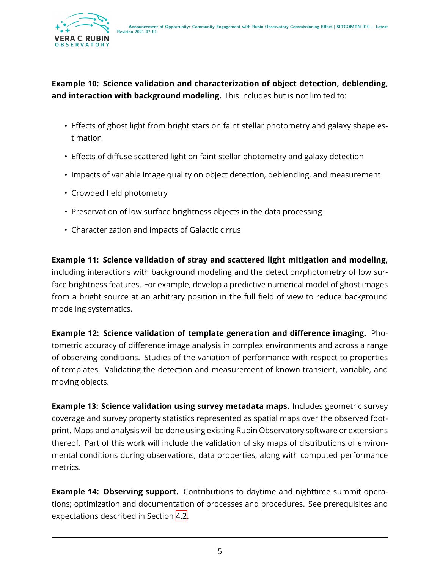

#### **Example 10: Science validation and characterization of object detection, deblending, and interaction with background modeling.** This includes but is not limited to:

- Effects of ghost light from bright stars on faint stellar photometry and galaxy shape estimation
- Effects of diffuse scattered light on faint stellar photometry and galaxy detection
- Impacts of variable image quality on object detection, deblending, and measurement
- Crowded field photometry
- Preservation of low surface brightness objects in the data processing
- Characterization and impacts of Galactic cirrus

**Example 11: Science validation of stray and scattered light mitigation and modeling,** including interactions with background modeling and the detection/photometry of low surface brightness features. For example, develop a predictive numerical model of ghost images from a bright source at an arbitrary position in the full field of view to reduce background modeling systematics.

**Example 12: Science validation of template generation and difference imaging.** Photometric accuracy of difference image analysis in complex environments and across a range of observing conditions. Studies of the variation of performance with respect to properties of templates. Validating the detection and measurement of known transient, variable, and moving objects.

**Example 13: Science validation using survey metadata maps.** Includes geometric survey coverage and survey property statistics represented as spatial maps over the observed footprint. Maps and analysis will be done using existing Rubin Observatory software or extensions thereof. Part of this work will include the validation of sky maps of distributions of environmental conditions during observations, data properties, along with computed performance metrics.

**Example 14: Observing support.** Contributions to daytime and nighttime summit operations; optimization and documentation of processes and procedures. See prerequisites and expectations described in Section [4.2](#page-12-0).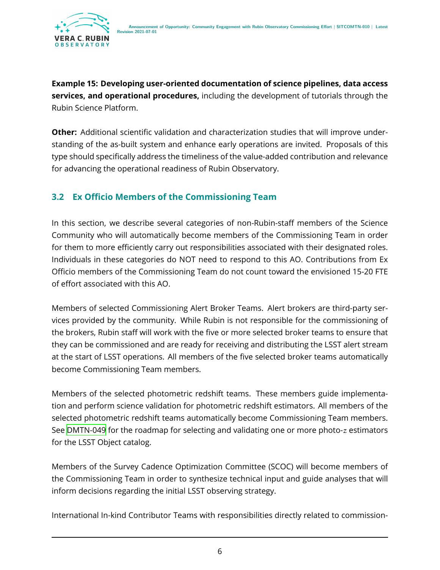

**Example 15: Developing user-oriented documentation of science pipelines, data access services, and operational procedures,** including the development of tutorials through the Rubin Science Platform.

**Other:** Additional scientific validation and characterization studies that will improve understanding of the as-built system and enhance early operations are invited. Proposals of this type should specifically address the timeliness of the value-added contribution and relevance for advancing the operational readiness of Rubin Observatory.

#### <span id="page-9-0"></span>**3.2 Ex Officio Members of the Commissioning Team**

In this section, we describe several categories of non-Rubin-staff members of the Science Community who will automatically become members of the Commissioning Team in order for them to more efficiently carry out responsibilities associated with their designated roles. Individuals in these categories do NOT need to respond to this AO. Contributions from Ex Officio members of the Commissioning Team do not count toward the envisioned 15-20 FTE of effort associated with this AO.

Members of selected Commissioning Alert Broker Teams. Alert brokers are third-party services provided by the community. While Rubin is not responsible for the commissioning of the brokers, Rubin staff will work with the five or more selected broker teams to ensure that they can be commissioned and are ready for receiving and distributing the LSST alert stream at the start of LSST operations. All members of the five selected broker teams automatically become Commissioning Team members.

Members of the selected photometric redshift teams. These members guide implementation and perform science validation for photometric redshift estimators. All members of the selected photometric redshift teams automatically become Commissioning Team members. See [DMTN-049](#page-20-5) for the roadmap for selecting and validating one or more photo- $z$  estimators for the LSST Object catalog.

Members of the Survey Cadence Optimization Committee (SCOC) will become members of the Commissioning Team in order to synthesize technical input and guide analyses that will inform decisions regarding the initial LSST observing strategy.

International In-kind Contributor Teams with responsibilities directly related to commission-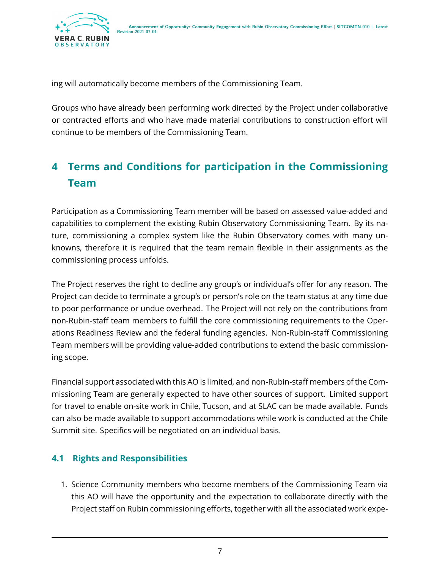

ing will automatically become members of the Commissioning Team.

Groups who have already been performing work directed by the Project under collaborative or contracted efforts and who have made material contributions to construction effort will continue to be members of the Commissioning Team.

# <span id="page-10-0"></span>**4 Terms and Conditions for participation in the Commissioning Team**

Participation as a Commissioning Team member will be based on assessed value-added and capabilities to complement the existing Rubin Observatory Commissioning Team. By its nature, commissioning a complex system like the Rubin Observatory comes with many unknowns, therefore it is required that the team remain flexible in their assignments as the commissioning process unfolds.

The Project reserves the right to decline any group's or individual's offer for any reason. The Project can decide to terminate a group's or person's role on the team status at any time due to poor performance or undue overhead. The Project will not rely on the contributions from non-Rubin-staff team members to fulfill the core commissioning requirements to the Operations Readiness Review and the federal funding agencies. Non-Rubin-staff Commissioning Team members will be providing value-added contributions to extend the basic commissioning scope.

Financial support associated with this AO is limited, and non-Rubin-staff members of the Commissioning Team are generally expected to have other sources of support. Limited support for travel to enable on-site work in Chile, Tucson, and at SLAC can be made available. Funds can also be made available to support accommodations while work is conducted at the Chile Summit site. Specifics will be negotiated on an individual basis.

#### <span id="page-10-1"></span>**4.1 Rights and Responsibilities**

1. Science Community members who become members of the Commissioning Team via this AO will have the opportunity and the expectation to collaborate directly with the Project staff on Rubin commissioning efforts, together with all the associated work expe-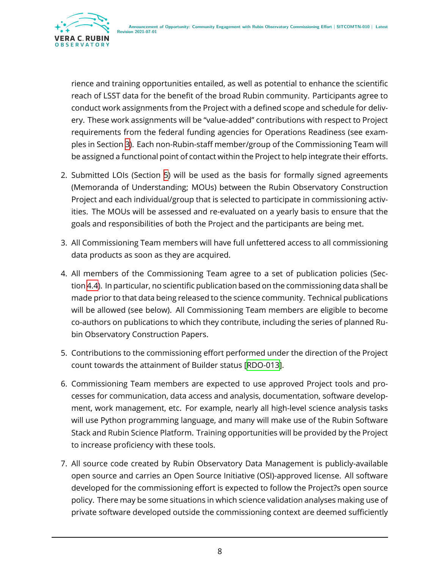

rience and training opportunities entailed, as well as potential to enhance the scientific reach of LSST data for the benefit of the broad Rubin community. Participants agree to conduct work assignments from the Project with a defined scope and schedule for delivery. These work assignments will be "value-added" contributions with respect to Project requirements from the federal funding agencies for Operations Readiness (see examples in Section [3\)](#page-5-0). Each non-Rubin-staff member/group of the Commissioning Team will be assigned a functional point of contact within the Project to help integrate their efforts.

- 2. Submitted LOIs (Section [5](#page-15-0)) will be used as the basis for formally signed agreements (Memoranda of Understanding; MOUs) between the Rubin Observatory Construction Project and each individual/group that is selected to participate in commissioning activities. The MOUs will be assessed and re-evaluated on a yearly basis to ensure that the goals and responsibilities of both the Project and the participants are being met.
- 3. All Commissioning Team members will have full unfettered access to all commissioning data products as soon as they are acquired.
- 4. All members of the Commissioning Team agree to a set of publication policies (Section [4.4\)](#page-13-1). In particular, no scientific publication based on the commissioning data shall be made prior to that data being released to the science community. Technical publications will be allowed (see below). All Commissioning Team members are eligible to become co-authors on publications to which they contribute, including the series of planned Rubin Observatory Construction Papers.
- 5. Contributions to the commissioning effort performed under the direction of the Project count towards the attainment of Builder status[[RDO-013\]](#page-20-6).
- 6. Commissioning Team members are expected to use approved Project tools and processes for communication, data access and analysis, documentation, software development, work management, etc. For example, nearly all high-level science analysis tasks will use Python programming language, and many will make use of the Rubin Software Stack and Rubin Science Platform. Training opportunities will be provided by the Project to increase proficiency with these tools.
- 7. All source code created by Rubin Observatory Data Management is publicly-available open source and carries an Open Source Initiative (OSI)-approved license. All software developed for the commissioning effort is expected to follow the Project?s open source policy. There may be some situations in which science validation analyses making use of private software developed outside the commissioning context are deemed sufficiently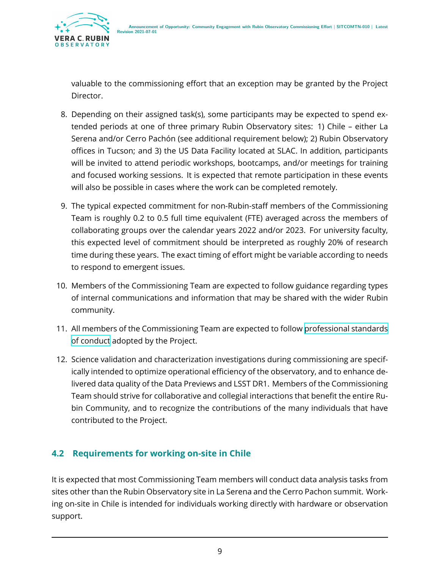

valuable to the commissioning effort that an exception may be granted by the Project Director.

- 8. Depending on their assigned task(s), some participants may be expected to spend extended periods at one of three primary Rubin Observatory sites: 1) Chile – either La Serena and/or Cerro Pachón (see additional requirement below); 2) Rubin Observatory offices in Tucson; and 3) the US Data Facility located at SLAC. In addition, participants will be invited to attend periodic workshops, bootcamps, and/or meetings for training and focused working sessions. It is expected that remote participation in these events will also be possible in cases where the work can be completed remotely.
- 9. The typical expected commitment for non-Rubin-staff members of the Commissioning Team is roughly 0.2 to 0.5 full time equivalent (FTE) averaged across the members of collaborating groups over the calendar years 2022 and/or 2023. For university faculty, this expected level of commitment should be interpreted as roughly 20% of research time during these years. The exact timing of effort might be variable according to needs to respond to emergent issues.
- 10. Members of the Commissioning Team are expected to follow guidance regarding types of internal communications and information that may be shared with the wider Rubin community.
- 11. All members of the Commissioning Team are expected to follow [professional standards](https://www.lsst.org/scientists/codes-of-conduct) [of conduct](https://www.lsst.org/scientists/codes-of-conduct) adopted by the Project.
- 12. Science validation and characterization investigations during commissioning are specifically intended to optimize operational efficiency of the observatory, and to enhance delivered data quality of the Data Previews and LSST DR1. Members of the Commissioning Team should strive for collaborative and collegial interactions that benefit the entire Rubin Community, and to recognize the contributions of the many individuals that have contributed to the Project.

#### <span id="page-12-0"></span>**4.2 Requirements for working on-site in Chile**

It is expected that most Commissioning Team members will conduct data analysis tasks from sites other than the Rubin Observatory site in La Serena and the Cerro Pachon summit. Working on-site in Chile is intended for individuals working directly with hardware or observation support.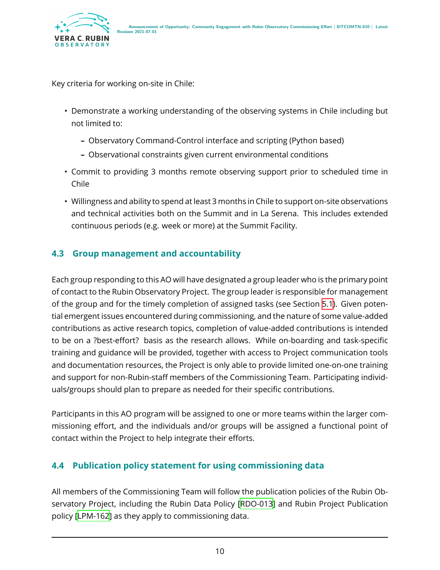

Key criteria for working on-site in Chile:

- Demonstrate a working understanding of the observing systems in Chile including but not limited to:
	- **–** Observatory Command-Control interface and scripting (Python based)
	- **–** Observational constraints given current environmental conditions
- Commit to providing 3 months remote observing support prior to scheduled time in Chile
- Willingness and ability to spend at least 3 months in Chile to support on-site observations and technical activities both on the Summit and in La Serena. This includes extended continuous periods (e.g. week or more) at the Summit Facility.

#### <span id="page-13-0"></span>**4.3 Group management and accountability**

Each group responding to this AO will have designated a group leader who is the primary point of contact to the Rubin Observatory Project. The group leader is responsible for management of the group and for the timely completion of assigned tasks (see Section [5.1\)](#page-15-1). Given potential emergent issues encountered during commissioning, and the nature of some value-added contributions as active research topics, completion of value-added contributions is intended to be on a ?best-effort? basis as the research allows. While on-boarding and task-specific training and guidance will be provided, together with access to Project communication tools and documentation resources, the Project is only able to provide limited one-on-one training and support for non-Rubin-staff members of the Commissioning Team. Participating individuals/groups should plan to prepare as needed for their specific contributions.

Participants in this AO program will be assigned to one or more teams within the larger commissioning effort, and the individuals and/or groups will be assigned a functional point of contact within the Project to help integrate their efforts.

#### <span id="page-13-1"></span>**4.4 Publication policy statement for using commissioning data**

All members of the Commissioning Team will follow the publication policies of the Rubin Observatory Project, including the Rubin Data Policy [\[RDO-013\]](#page-20-6) and Rubin Project Publication policy[[LPM-162](#page-20-7)] as they apply to commissioning data.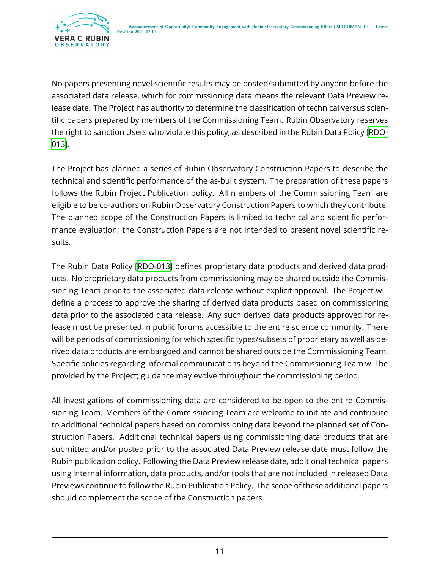

No papers presenting novel scientific results may be posted/submitted by anyone before the associated data release, which for commissioning data means the relevant Data Preview release date. The Project has authority to determine the classification of technical versus scientific papers prepared by members of the Commissioning Team. Rubin Observatory reserves the right to sanction Users who violate this policy, as described in the Rubin Data Policy [\[RDO-](#page-20-6)[013\]](#page-20-6).

The Project has planned a series of Rubin Observatory Construction Papers to describe the technical and scientific performance of the as-built system. The preparation of these papers follows the Rubin Project Publication policy. All members of the Commissioning Team are eligible to be co-authors on Rubin Observatory Construction Papers to which they contribute. The planned scope of the Construction Papers is limited to technical and scientific performance evaluation; the Construction Papers are not intended to present novel scientific results.

The Rubin Data Policy [\[RDO-013\]](#page-20-6) defines proprietary data products and derived data products. No proprietary data products from commissioning may be shared outside the Commissioning Team prior to the associated data release without explicit approval. The Project will define a process to approve the sharing of derived data products based on commissioning data prior to the associated data release. Any such derived data products approved for release must be presented in public forums accessible to the entire science community. There will be periods of commissioning for which specific types/subsets of proprietary as well as derived data products are embargoed and cannot be shared outside the Commissioning Team. Specific policies regarding informal communications beyond the Commissioning Team will be provided by the Project; guidance may evolve throughout the commissioning period.

All investigations of commissioning data are considered to be open to the entire Commissioning Team. Members of the Commissioning Team are welcome to initiate and contribute to additional technical papers based on commissioning data beyond the planned set of Construction Papers. Additional technical papers using commissioning data products that are submitted and/or posted prior to the associated Data Preview release date must follow the Rubin publication policy. Following the Data Preview release date, additional technical papers using internal information, data products, and/or tools that are not included in released Data Previews continue to follow the Rubin Publication Policy. The scope of these additional papers should complement the scope of the Construction papers.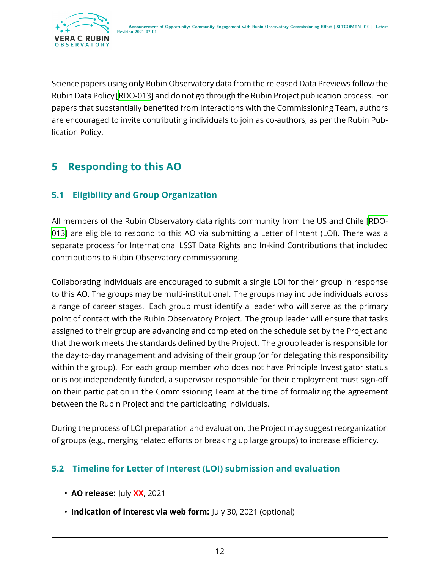

Science papers using only Rubin Observatory data from the released Data Previews follow the Rubin Data Policy[[RDO-013](#page-20-6)] and do not go through the Rubin Project publication process. For papers that substantially benefited from interactions with the Commissioning Team, authors are encouraged to invite contributing individuals to join as co-authors, as per the Rubin Publication Policy.

# <span id="page-15-0"></span>**5 Responding to this AO**

#### <span id="page-15-1"></span>**5.1 Eligibility and Group Organization**

All members of the Rubin Observatory data rights community from the US and Chile [\[RDO-](#page-20-6)[013\]](#page-20-6) are eligible to respond to this AO via submitting a Letter of Intent (LOI). There was a separate process for International LSST Data Rights and In-kind Contributions that included contributions to Rubin Observatory commissioning.

Collaborating individuals are encouraged to submit a single LOI for their group in response to this AO. The groups may be multi-institutional. The groups may include individuals across a range of career stages. Each group must identify a leader who will serve as the primary point of contact with the Rubin Observatory Project. The group leader will ensure that tasks assigned to their group are advancing and completed on the schedule set by the Project and that the work meets the standards defined by the Project. The group leader is responsible for the day-to-day management and advising of their group (or for delegating this responsibility within the group). For each group member who does not have Principle Investigator status or is not independently funded, a supervisor responsible for their employment must sign-off on their participation in the Commissioning Team at the time of formalizing the agreement between the Rubin Project and the participating individuals.

During the process of LOI preparation and evaluation, the Project may suggest reorganization of groups (e.g., merging related efforts or breaking up large groups) to increase efficiency.

#### <span id="page-15-2"></span>**5.2 Timeline for Letter of Interest (LOI) submission and evaluation**

- **AO release:** July **XX**, 2021
- **Indication of interest via web form:** July 30, 2021 (optional)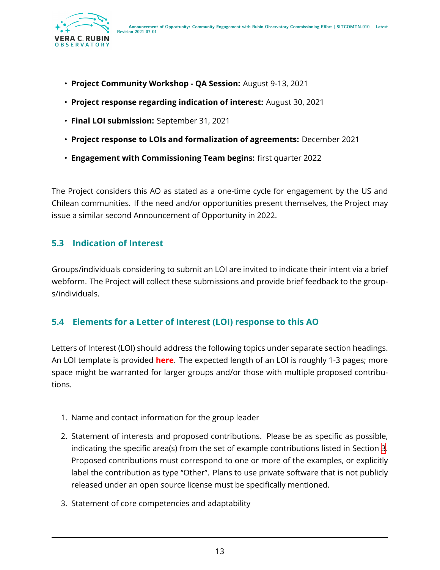

- **Project Community Workshop QA Session:** August 9-13, 2021
- **Project response regarding indication of interest:** August 30, 2021
- **Final LOI submission:** September 31, 2021
- **Project response to LOIs and formalization of agreements:** December 2021
- **Engagement with Commissioning Team begins:** first quarter 2022

The Project considers this AO as stated as a one-time cycle for engagement by the US and Chilean communities. If the need and/or opportunities present themselves, the Project may issue a similar second Announcement of Opportunity in 2022.

#### <span id="page-16-0"></span>**5.3 Indication of Interest**

Groups/individuals considering to submit an LOI are invited to indicate their intent via a brief webform. The Project will collect these submissions and provide brief feedback to the groups/individuals.

#### <span id="page-16-1"></span>**5.4 Elements for a Letter of Interest (LOI) response to this AO**

Letters of Interest (LOI) should address the following topics under separate section headings. An LOI template is provided **here**. The expected length of an LOI is roughly 1-3 pages; more space might be warranted for larger groups and/or those with multiple proposed contributions.

- 1. Name and contact information for the group leader
- 2. Statement of interests and proposed contributions. Please be as specific as possible, indicating the specific area(s) from the set of example contributions listed in Section [3](#page-5-0). Proposed contributions must correspond to one or more of the examples, or explicitly label the contribution as type "Other". Plans to use private software that is not publicly released under an open source license must be specifically mentioned.
- 3. Statement of core competencies and adaptability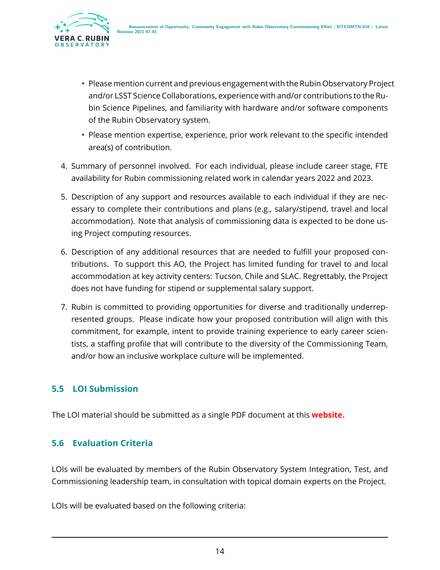

- Please mention current and previous engagement with the Rubin Observatory Project and/or LSST Science Collaborations, experience with and/or contributions to the Rubin Science Pipelines, and familiarity with hardware and/or software components of the Rubin Observatory system.
- Please mention expertise, experience, prior work relevant to the specific intended area(s) of contribution.
- 4. Summary of personnel involved. For each individual, please include career stage, FTE availability for Rubin commissioning related work in calendar years 2022 and 2023.
- 5. Description of any support and resources available to each individual if they are necessary to complete their contributions and plans (e.g., salary/stipend, travel and local accommodation). Note that analysis of commissioning data is expected to be done using Project computing resources.
- 6. Description of any additional resources that are needed to fulfill your proposed contributions. To support this AO, the Project has limited funding for travel to and local accommodation at key activity centers: Tucson, Chile and SLAC. Regrettably, the Project does not have funding for stipend or supplemental salary support.
- 7. Rubin is committed to providing opportunities for diverse and traditionally underrepresented groups. Please indicate how your proposed contribution will align with this commitment, for example, intent to provide training experience to early career scientists, a staffing profile that will contribute to the diversity of the Commissioning Team, and/or how an inclusive workplace culture will be implemented.

#### <span id="page-17-0"></span>**5.5 LOI Submission**

<span id="page-17-1"></span>The LOI material should be submitted as a single PDF document at this **website.**

#### **5.6 Evaluation Criteria**

LOIs will be evaluated by members of the Rubin Observatory System Integration, Test, and Commissioning leadership team, in consultation with topical domain experts on the Project.

LOIs will be evaluated based on the following criteria: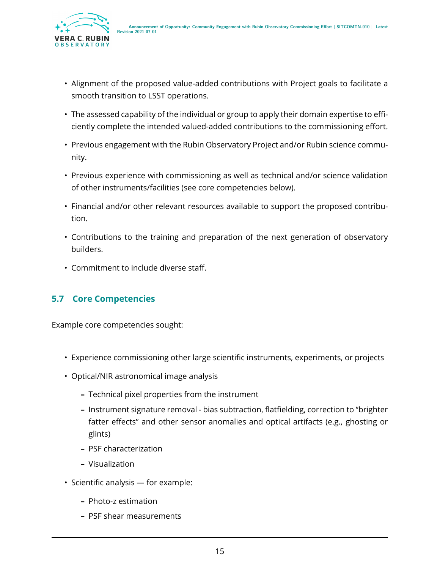

- Alignment of the proposed value-added contributions with Project goals to facilitate a smooth transition to LSST operations.
- The assessed capability of the individual or group to apply their domain expertise to efficiently complete the intended valued-added contributions to the commissioning effort.
- Previous engagement with the Rubin Observatory Project and/or Rubin science community.
- Previous experience with commissioning as well as technical and/or science validation of other instruments/facilities (see core competencies below).
- Financial and/or other relevant resources available to support the proposed contribution.
- Contributions to the training and preparation of the next generation of observatory builders.
- Commitment to include diverse staff.

#### <span id="page-18-0"></span>**5.7 Core Competencies**

Example core competencies sought:

- Experience commissioning other large scientific instruments, experiments, or projects
- Optical/NIR astronomical image analysis
	- **–** Technical pixel properties from the instrument
	- **–** Instrument signature removal bias subtraction, flatfielding, correction to "brighter fatter effects" and other sensor anomalies and optical artifacts (e.g., ghosting or glints)
	- **–** PSF characterization
	- **–** Visualization
- Scientific analysis for example:
	- **–** Photo-z estimation
	- **–** PSF shear measurements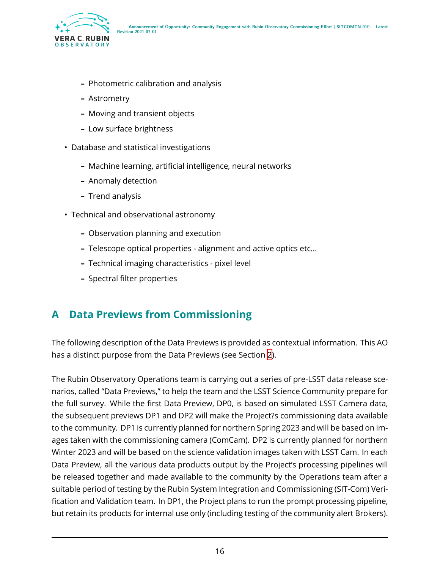

- **–** Photometric calibration and analysis
- **–** Astrometry
- **–** Moving and transient objects
- **–** Low surface brightness
- Database and statistical investigations
	- **–** Machine learning, artificial intelligence, neural networks
	- **–** Anomaly detection
	- **–** Trend analysis
- Technical and observational astronomy
	- **–** Observation planning and execution
	- **–** Telescope optical properties alignment and active optics etc...
	- **–** Technical imaging characteristics pixel level
	- **–** Spectral filter properties

### <span id="page-19-0"></span>**A Data Previews from Commissioning**

The following description of the Data Previews is provided as contextual information. This AO has a distinct purpose from the Data Previews (see Section [2\)](#page-4-1).

The Rubin Observatory Operations team is carrying out a series of pre-LSST data release scenarios, called "Data Previews," to help the team and the LSST Science Community prepare for the full survey. While the first Data Preview, DP0, is based on simulated LSST Camera data, the subsequent previews DP1 and DP2 will make the Project?s commissioning data available to the community. DP1 is currently planned for northern Spring 2023 and will be based on images taken with the commissioning camera (ComCam). DP2 is currently planned for northern Winter 2023 and will be based on the science validation images taken with LSST Cam. In each Data Preview, all the various data products output by the Project's processing pipelines will be released together and made available to the community by the Operations team after a suitable period of testing by the Rubin System Integration and Commissioning (SIT-Com) Verification and Validation team. In DP1, the Project plans to run the prompt processing pipeline, but retain its products for internal use only (including testing of the community alert Brokers).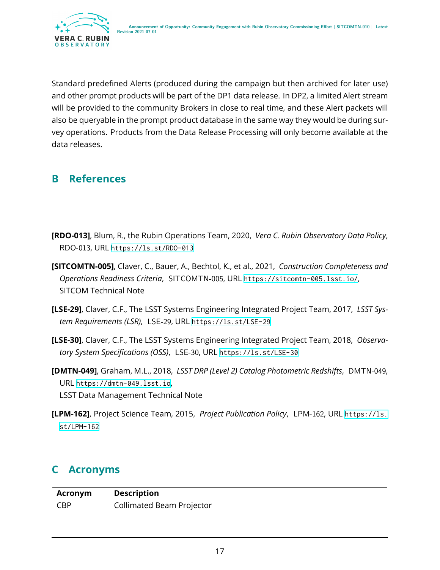

Standard predefined Alerts (produced during the campaign but then archived for later use) and other prompt products will be part of the DP1 data release. In DP2, a limited Alert stream will be provided to the community Brokers in close to real time, and these Alert packets will also be queryable in the prompt product database in the same way they would be during survey operations. Products from the Data Release Processing will only become available at the data releases.

### <span id="page-20-0"></span>**B References**

- <span id="page-20-6"></span>**[RDO-013]**, Blum, R., the Rubin Operations Team, 2020, *Vera C. Rubin Observatory Data Policy*, RDO-013, URL <https://ls.st/RDO-013>
- <span id="page-20-4"></span>**[SITCOMTN-005]**, Claver, C., Bauer, A., Bechtol, K., et al., 2021, *Construction Completeness and Operations Readiness Criteria*, SITCOMTN-005, URL <https://sitcomtn-005.lsst.io/>, SITCOM Technical Note
- <span id="page-20-2"></span>**[LSE-29]**, Claver, C.F., The LSST Systems Engineering Integrated Project Team, 2017, *LSST System Requirements (LSR)*, LSE-29, URL <https://ls.st/LSE-29>
- <span id="page-20-3"></span>**[LSE-30]**, Claver, C.F., The LSST Systems Engineering Integrated Project Team, 2018, *Observatory System Specifications (OSS)*, LSE-30, URL <https://ls.st/LSE-30>
- <span id="page-20-5"></span>**[DMTN-049]**, Graham, M.L., 2018, *LSST DRP (Level 2) Catalog Photometric Redshifts*, DMTN-049, URL <https://dmtn-049.lsst.io>, LSST Data Management Technical Note
- <span id="page-20-7"></span>**[LPM-162]**, Project Science Team, 2015, *Project Publication Policy*, LPM-162, URL [https://ls.](https://ls.st/LPM-162) [st/LPM-162](https://ls.st/LPM-162)

# <span id="page-20-1"></span>**C Acronyms**

| Acronym    | <b>Description</b>        |
|------------|---------------------------|
| <b>CBP</b> | Collimated Beam Projector |